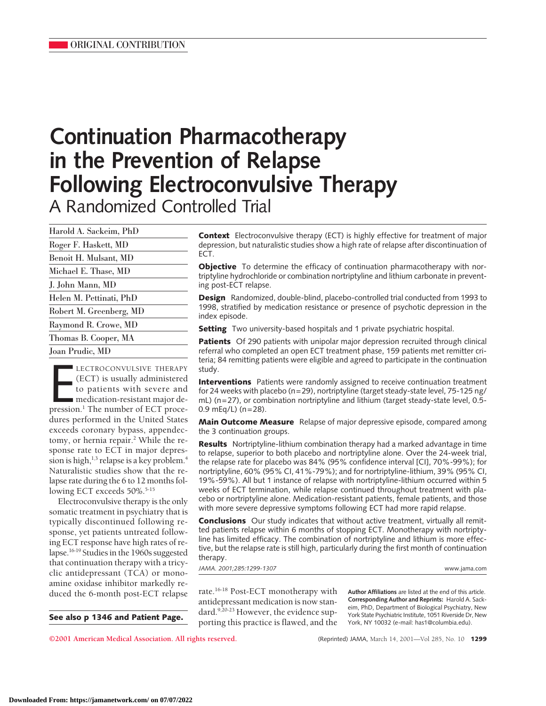# **Continuation Pharmacotherapy in the Prevention of Relapse Following Electroconvulsive Therapy** A Randomized Controlled Trial

| Harold A. Sackeim, PhD  |
|-------------------------|
| Roger F. Haskett, MD    |
| Benoit H. Mulsant, MD   |
| Michael E. Thase, MD    |
| J. John Mann, MD        |
| Helen M. Pettinati, PhD |
| Robert M. Greenberg, MD |
| Raymond R. Crowe, MD    |
| Thomas B. Cooper, MA    |
| Joan Prudic, MD         |

LECTROCONVULSIVE THERAPY<br>
(ECT) is usually administered<br>
to patients with severe and<br>
medication-resistant major de-<br>
pression.<sup>1</sup> The number of ECT proce-LECTROCONVULSIVE THERAPY (ECT) is usually administered to patients with severe and medication-resistant major dedures performed in the United States exceeds coronary bypass, appendectomy, or hernia repair.<sup>2</sup> While the response rate to ECT in major depression is high, $1,3$  relapse is a key problem.<sup>4</sup> Naturalistic studies show that the relapse rate during the 6 to 12 months following ECT exceeds 50%.<sup>5-15</sup>

Electroconvulsive therapy is the only somatic treatment in psychiatry that is typically discontinued following response, yet patients untreated following ECT response have high rates of relapse.16-19 Studies in the 1960s suggested that continuation therapy with a tricyclic antidepressant (TCA) or monoamine oxidase inhibitor markedly reduced the 6-month post-ECT relapse rate.<sup>16-18</sup> Post-ECT monotherapy with

**See also p 1346 and Patient Page.**

**Context** Electroconvulsive therapy (ECT) is highly effective for treatment of major depression, but naturalistic studies show a high rate of relapse after discontinuation of ECT.

**Objective** To determine the efficacy of continuation pharmacotherapy with nortriptyline hydrochloride or combination nortriptyline and lithium carbonate in preventing post-ECT relapse.

**Design** Randomized, double-blind, placebo-controlled trial conducted from 1993 to 1998, stratified by medication resistance or presence of psychotic depression in the index episode.

**Setting** Two university-based hospitals and 1 private psychiatric hospital.

**Patients** Of 290 patients with unipolar major depression recruited through clinical referral who completed an open ECT treatment phase, 159 patients met remitter criteria; 84 remitting patients were eligible and agreed to participate in the continuation study.

**Interventions** Patients were randomly assigned to receive continuation treatment for 24 weeks with placebo (n=29), nortriptyline (target steady-state level, 75-125 ng/ mL) (n=27), or combination nortriptyline and lithium (target steady-state level, 0.5- 0.9 mEq/L) (n=28).

**Main Outcome Measure** Relapse of major depressive episode, compared among the 3 continuation groups.

**Results** Nortriptyline-lithium combination therapy had a marked advantage in time to relapse, superior to both placebo and nortriptyline alone. Over the 24-week trial, the relapse rate for placebo was 84% (95% confidence interval [CI], 70%-99%); for nortriptyline, 60% (95% CI, 41%-79%); and for nortriptyline-lithium, 39% (95% CI, 19%-59%). All but 1 instance of relapse with nortriptyline-lithium occurred within 5 weeks of ECT termination, while relapse continued throughout treatment with placebo or nortriptyline alone. Medication-resistant patients, female patients, and those with more severe depressive symptoms following ECT had more rapid relapse.

**Conclusions** Our study indicates that without active treatment, virtually all remitted patients relapse within 6 months of stopping ECT. Monotherapy with nortriptyline has limited efficacy. The combination of nortriptyline and lithium is more effective, but the relapse rate is still high, particularly during the first month of continuation therapy.

*JAMA. 2001;285:1299-1307* www.jama.com

antidepressant medication is now standard.9,20-23 However, the evidence supporting this practice is flawed, and the **Author Affiliations** are listed at the end of this article. **Corresponding Author and Reprints:** Harold A. Sackeim, PhD, Department of Biological Psychiatry, New York State Psychiatric Institute, 1051 Riverside Dr, New York, NY 10032 (e-mail: has1@columbia.edu).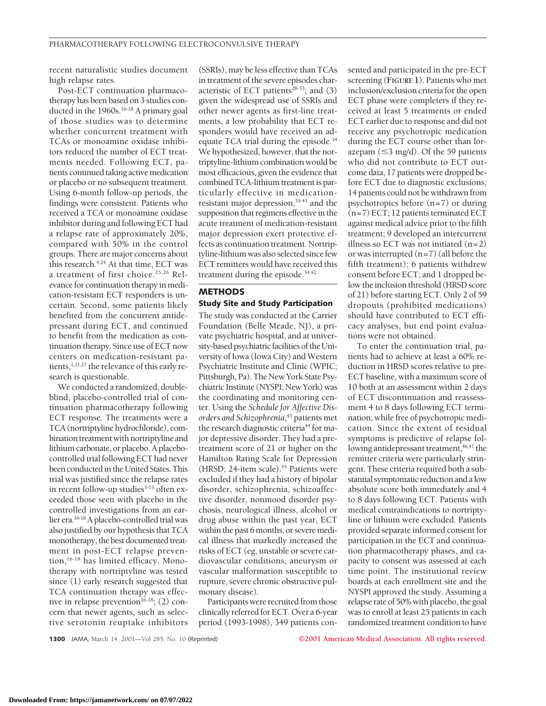recent naturalistic studies document high relapse rates.

Post-ECT continuation pharmacotherapy has been based on 3 studies conducted in the 1960s.<sup>16-18</sup> A primary goal of those studies was to determine whether concurrent treatment with TCAs or monoamine oxidase inhibitors reduced the number of ECT treatments needed. Following ECT, patients continued taking active medication or placebo or no subsequent treatment. Using 6-month follow-up periods, the findings were consistent. Patients who received a TCA or monoamine oxidase inhibitor during and following ECT had a relapse rate of approximately 20%, compared with 50% in the control groups. There are major concerns about this research.<sup>4,24</sup> At that time, ECT was a treatment of first choice.25,26 Relevance for continuation therapy in medication-resistant ECT responders is uncertain. Second, some patients likely benefited from the concurrent antidepressant during ECT, and continued to benefit from the medication as continuation therapy. Since use of ECT now centers on medication-resistant patients,<sup>1,21,27</sup> the relevance of this early research is questionable.

We conducted a randomized, doubleblind, placebo-controlled trial of continuation pharmacotherapy following ECT response. The treatments were a TCA (nortriptyline hydrochloride), combination treatment with nortriptyline and lithium carbonate, or placebo. A placebocontrolled trial following ECT had never been conducted in the United States. This trial was justified since the relapse rates in recent follow-up studies<sup>5-15</sup> often exceeded those seen with placebo in the controlled investigations from an earlier era.16-18A placebo-controlled trial was also justified by our hypothesis that TCA monotherapy, the best documented treatment in post-ECT relapse prevention,<sup>16-18</sup> has limited efficacy. Monotherapy with nortriptyline was tested since (1) early research suggested that TCA continuation therapy was effective in relapse prevention<sup>16-18</sup>; (2) concern that newer agents, such as selective serotonin reuptake inhibitors (SSRIs), may be less effective than TCAs in treatment of the severe episodes characteristic of ECT patients $28-33$ ; and (3) given the widespread use of SSRIs and other newer agents as first-line treatments, a low probability that ECT responders would have received an adequate TCA trial during the episode.<sup>34</sup> We hypothesized, however, that the nortriptyline-lithium combination would be most efficacious, given the evidence that combined TCA-lithium treatment is particularly effective in medicationresistant major depression,<sup>35-41</sup> and the supposition that regimens effective in the acute treatment of medication-resistant major depression exert protective effects as continuation treatment. Nortriptyline-lithium was also selected since few ECT remitters would have received this treatment during the episode.34,42

### **METHODS**

#### **Study Site and Study Participation**

The study was conducted at the Carrier Foundation (Belle Meade, NJ), a private psychiatric hospital, and at university-based psychiatric facilities of the University of Iowa (Iowa City) and Western Psychiatric Institute and Clinic (WPIC; Pittsburgh, Pa). The New York State Psychiatric Institute (NYSPI; New York) was the coordinating and monitoring center. Using the *Schedule for Affective Disorders and Schizophrenia*, <sup>43</sup> patients met the research diagnostic criteria<sup>44</sup> for major depressive disorder. They had a pretreatment score of 21 or higher on the Hamilton Rating Scale for Depression (HRSD;  $24$ -item scale).<sup>45</sup> Patients were excluded if they had a history of bipolar disorder, schizophrenia, schizoaffective disorder, nonmood disorder psychosis, neurological illness, alcohol or drug abuse within the past year, ECT within the past 6 months, or severe medical illness that markedly increased the risks of ECT (eg, unstable or severe cardiovascular conditions, aneurysm or vascular malformation susceptible to rupture, severe chronic obstructive pulmonary disease).

Participants were recruited from those clinically referred for ECT. Over a 6-year period (1993-1998), 349 patients consented and participated in the pre-ECT screening (**FIGURE 1**). Patients who met inclusion/exclusion criteria for the open ECT phase were completers if they received at least 5 treatments or ended ECT earlier due to response and did not receive any psychotropic medication during the ECT course other than lorazepam  $(\leq 3 \text{ mg/d})$ . Of the 59 patients who did not contribute to ECT outcome data, 17 patients were dropped before ECT due to diagnostic exclusions; 14 patients could not be withdrawn from psychotropics before (n=7) or during (n=7) ECT; 12 patients terminated ECT against medical advice prior to the fifth treatment; 9 developed an intercurrent illness so ECT was not initiated  $(n=2)$ or was interrupted  $(n=7)$  (all before the fifth treatment); 6 patients withdrew consent before ECT; and 1 dropped below the inclusion threshold (HRSD score of 21) before starting ECT. Only 2 of 59 dropouts (prohibited medications) should have contributed to ECT efficacy analyses, but end point evaluations were not obtained.

To enter the continuation trial, patients had to achieve at least a 60% reduction in HRSD scores relative to pre-ECT baseline, with a maximum score of 10 both at an assessment within 2 days of ECT discontinuation and reassessment 4 to 8 days following ECT termination, while free of psychotropic medication. Since the extent of residual symptoms is predictive of relapse following antidepressant treatment,<sup>46,47</sup> the remitter criteria were particularly stringent. These criteria required both a substantial symptomatic reduction and a low absolute score both immediately and 4 to 8 days following ECT. Patients with medical contraindications to nortriptyline or lithium were excluded. Patients provided separate informed consent for participation in the ECT and continuation pharmacotherapy phases, and capacity to consent was assessed at each time point. The institutional review boards at each enrollment site and the NYSPI approved the study. Assuming a relapse rate of 50% with placebo, the goal was to enroll at least 25 patients in each randomized treatment condition to have

**1300** JAMA, March 14, 2001—Vol 285, No. 10 (Reprinted) **©2001 American Medical Association. All rights reserved.**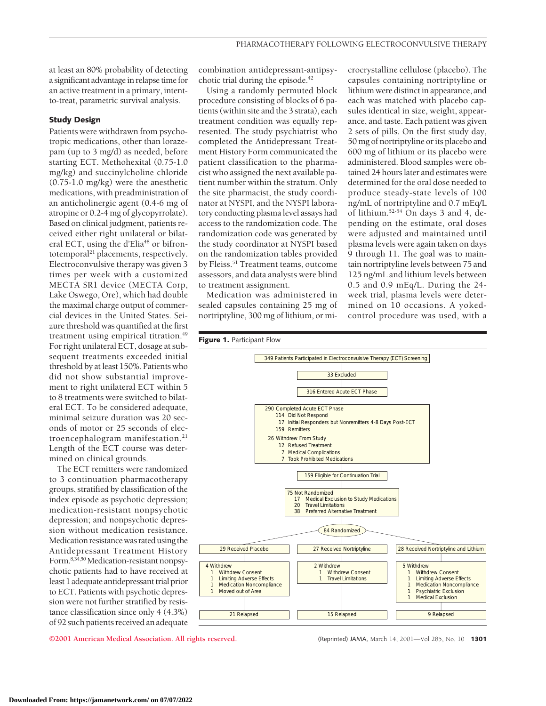at least an 80% probability of detecting a significant advantage in relapse time for an active treatment in a primary, intentto-treat, parametric survival analysis.

#### **Study Design**

Patients were withdrawn from psychotropic medications, other than lorazepam (up to 3 mg/d) as needed, before starting ECT. Methohexital (0.75-1.0 mg/kg) and succinylcholine chloride (0.75-1.0 mg/kg) were the anesthetic medications, with preadministration of an anticholinergic agent (0.4-6 mg of atropine or 0.2-4 mg of glycopyrrolate). Based on clinical judgment, patients received either right unilateral or bilateral ECT, using the d'Elia<sup>48</sup> or bifrontotemporal<sup>21</sup> placements, respectively. Electroconvulsive therapy was given 3 times per week with a customized MECTA SR1 device (MECTA Corp, Lake Oswego, Ore), which had double the maximal charge output of commercial devices in the United States. Seizure threshold was quantified at the first treatment using empirical titration.<sup>49</sup> For right unilateral ECT, dosage at subsequent treatments exceeded initial threshold by at least 150%. Patients who did not show substantial improvement to right unilateral ECT within 5 to 8 treatments were switched to bilateral ECT. To be considered adequate, minimal seizure duration was 20 seconds of motor or 25 seconds of electroencephalogram manifestation.<sup>21</sup> Length of the ECT course was determined on clinical grounds.

The ECT remitters were randomized to 3 continuation pharmacotherapy groups, stratified by classification of the index episode as psychotic depression; medication-resistant nonpsychotic depression; and nonpsychotic depression without medication resistance. Medication resistance was rated using the Antidepressant Treatment History Form.<sup>8,34,50</sup> Medication-resistant nonpsychotic patients had to have received at least 1 adequate antidepressant trial prior to ECT. Patients with psychotic depression were not further stratified by resistance classification since only 4 (4.3%) of 92 such patients received an adequate

combination antidepressant-antipsychotic trial during the episode.<sup>42</sup>

Using a randomly permuted block procedure consisting of blocks of 6 patients (within site and the 3 strata), each treatment condition was equally represented. The study psychiatrist who completed the Antidepressant Treatment History Form communicated the patient classification to the pharmacist who assigned the next available patient number within the stratum. Only the site pharmacist, the study coordinator at NYSPI, and the NYSPI laboratory conducting plasma level assays had access to the randomization code. The randomization code was generated by the study coordinator at NYSPI based on the randomization tables provided by Fleiss.<sup>51</sup> Treatment teams, outcome assessors, and data analysts were blind to treatment assignment.

Medication was administered in sealed capsules containing 25 mg of nortriptyline, 300 mg of lithium, or mi-

crocrystalline cellulose (placebo). The capsules containing nortriptyline or lithium were distinct in appearance, and each was matched with placebo capsules identical in size, weight, appearance, and taste. Each patient was given 2 sets of pills. On the first study day, 50 mg of nortriptyline or its placebo and 600 mg of lithium or its placebo were administered. Blood samples were obtained 24 hours later and estimates were determined for the oral dose needed to produce steady-state levels of 100 ng/mL of nortriptyline and 0.7 mEq/L of lithium.<sup>52-54</sup> On days 3 and 4, depending on the estimate, oral doses were adjusted and maintained until plasma levels were again taken on days 9 through 11. The goal was to maintain nortriptyline levels between 75 and 125 ng/mL and lithium levels between 0.5 and 0.9 mEq/L. During the 24 week trial, plasma levels were determined on 10 occasions. A yokedcontrol procedure was used, with a

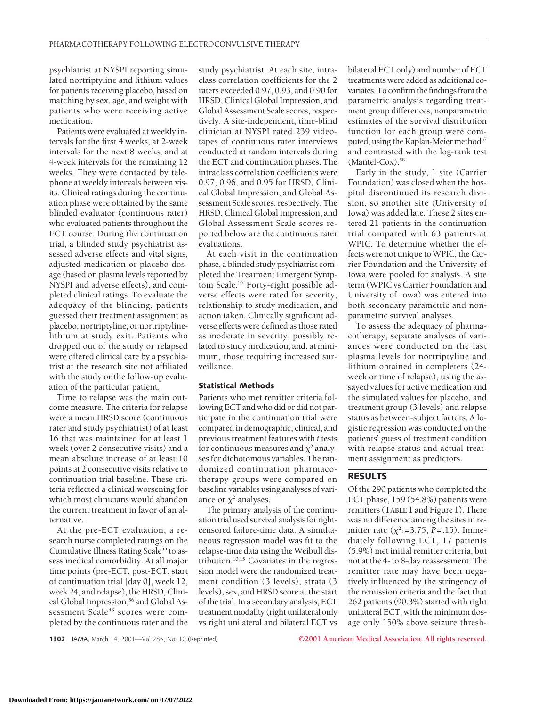psychiatrist at NYSPI reporting simulated nortriptyline and lithium values for patients receiving placebo, based on matching by sex, age, and weight with patients who were receiving active medication.

Patients were evaluated at weekly intervals for the first 4 weeks, at 2-week intervals for the next 8 weeks, and at 4-week intervals for the remaining 12 weeks. They were contacted by telephone at weekly intervals between visits. Clinical ratings during the continuation phase were obtained by the same blinded evaluator (continuous rater) who evaluated patients throughout the ECT course. During the continuation trial, a blinded study psychiatrist assessed adverse effects and vital signs, adjusted medication or placebo dosage (based on plasma levels reported by NYSPI and adverse effects), and completed clinical ratings. To evaluate the adequacy of the blinding, patients guessed their treatment assignment as placebo, nortriptyline, or nortriptylinelithium at study exit. Patients who dropped out of the study or relapsed were offered clinical care by a psychiatrist at the research site not affiliated with the study or the follow-up evaluation of the particular patient.

Time to relapse was the main outcome measure. The criteria for relapse were a mean HRSD score (continuous rater and study psychiatrist) of at least 16 that was maintained for at least 1 week (over 2 consecutive visits) and a mean absolute increase of at least 10 points at 2 consecutive visits relative to continuation trial baseline. These criteria reflected a clinical worsening for which most clinicians would abandon the current treatment in favor of an alternative.

At the pre-ECT evaluation, a research nurse completed ratings on the Cumulative Illness Rating Scale<sup>55</sup> to assess medical comorbidity. At all major time points (pre-ECT, post-ECT, start of continuation trial [day 0], week 12, week 24, and relapse), the HRSD, Clinical Global Impression,<sup>56</sup> and Global Assessment Scale<sup>43</sup> scores were completed by the continuous rater and the

study psychiatrist. At each site, intraclass correlation coefficients for the 2 raters exceeded 0.97, 0.93, and 0.90 for HRSD, Clinical Global Impression, and Global Assessment Scale scores, respectively. A site-independent, time-blind clinician at NYSPI rated 239 videotapes of continuous rater interviews conducted at random intervals during the ECT and continuation phases. The intraclass correlation coefficients were 0.97, 0.96, and 0.95 for HRSD, Clinical Global Impression, and Global Assessment Scale scores, respectively. The HRSD, Clinical Global Impression, and Global Assessment Scale scores reported below are the continuous rater evaluations.

At each visit in the continuation phase, a blinded study psychiatrist completed the Treatment Emergent Symptom Scale.<sup>56</sup> Forty-eight possible adverse effects were rated for severity, relationship to study medication, and action taken. Clinically significant adverse effects were defined as those rated as moderate in severity, possibly related to study medication, and, at minimum, those requiring increased surveillance.

# **Statistical Methods**

Patients who met remitter criteria following ECT and who did or did not participate in the continuation trial were compared in demographic, clinical, and previous treatment features with *t* tests for continuous measures and  $\chi^2$  analyses for dichotomous variables. The randomized continuation pharmacotherapy groups were compared on baseline variables using analyses of variance or  $\chi^2$  analyses.

The primary analysis of the continuation trial used survival analysis for rightcensored failure-time data. A simultaneous regression model was fit to the relapse-time data using the Weibull distribution.10,15 Covariates in the regression model were the randomized treatment condition (3 levels), strata (3 levels), sex, and HRSD score at the start of the trial. In a secondary analysis, ECT treatment modality (right unilateral only vs right unilateral and bilateral ECT vs bilateral ECT only) and number of ECT treatments were added as additional covariates. To confirm the findings from the parametric analysis regarding treatment group differences, nonparametric estimates of the survival distribution function for each group were computed, using the Kaplan-Meier method<sup>57</sup> and contrasted with the log-rank test (Mantel-Cox).<sup>58</sup>

Early in the study, 1 site (Carrier Foundation) was closed when the hospital discontinued its research division, so another site (University of Iowa) was added late. These 2 sites entered 21 patients in the continuation trial compared with 63 patients at WPIC. To determine whether the effects were not unique to WPIC, the Carrier Foundation and the University of Iowa were pooled for analysis. A site term (WPIC vs Carrier Foundation and University of Iowa) was entered into both secondary parametric and nonparametric survival analyses.

To assess the adequacy of pharmacotherapy, separate analyses of variances were conducted on the last plasma levels for nortriptyline and lithium obtained in completers (24 week or time of relapse), using the assayed values for active medication and the simulated values for placebo, and treatment group (3 levels) and relapse status as between-subject factors. A logistic regression was conducted on the patients' guess of treatment condition with relapse status and actual treatment assignment as predictors.

# **RESULTS**

Of the 290 patients who completed the ECT phase, 159 (54.8%) patients were remitters (**TABLE 1** and Figure 1). There was no difference among the sites in remitter rate  $(\chi^2_{2} = 3.75, P = .15)$ . Immediately following ECT, 17 patients (5.9%) met initial remitter criteria, but not at the 4- to 8-day reassessment. The remitter rate may have been negatively influenced by the stringency of the remission criteria and the fact that 262 patients (90.3%) started with right unilateral ECT, with the minimum dosage only 150% above seizure thresh-

**1302** JAMA, March 14, 2001—Vol 285, No. 10 (Reprinted) **©2001 American Medical Association. All rights reserved.**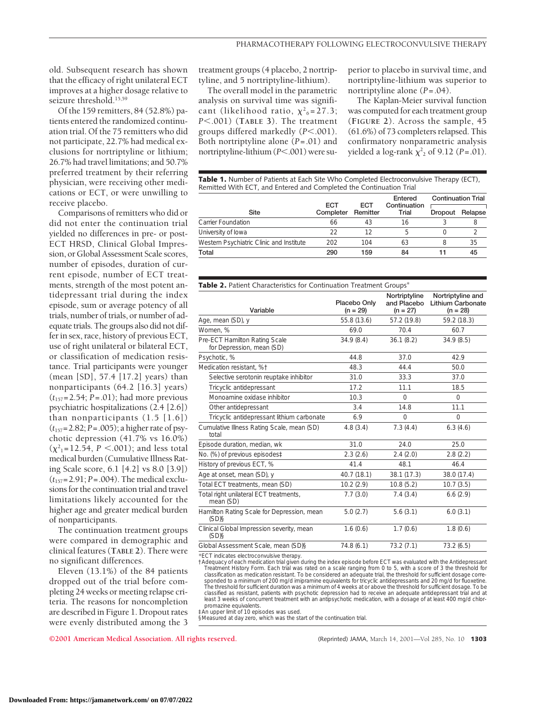old. Subsequent research has shown that the efficacy of right unilateral ECT improves at a higher dosage relative to seizure threshold.<sup>15,59</sup>

Of the 159 remitters, 84 (52.8%) patients entered the randomized continuation trial. Of the 75 remitters who did not participate, 22.7% had medical exclusions for nortriptyline or lithium; 26.7% had travel limitations; and 50.7% preferred treatment by their referring physician, were receiving other medications or ECT, or were unwilling to receive placebo.

Comparisons of remitters who did or did not enter the continuation trial yielded no differences in pre- or post-ECT HRSD, Clinical Global Impression, or Global Assessment Scale scores, number of episodes, duration of current episode, number of ECT treatments, strength of the most potent antidepressant trial during the index episode, sum or average potency of all trials, number of trials, or number of adequate trials. The groups also did not differ in sex, race, history of previous ECT, use of right unilateral or bilateral ECT, or classification of medication resistance. Trial participants were younger (mean [SD], 57.4 [17.2] years) than nonparticipants (64.2 [16.3] years) (*t*157=2.54; *P*=.01); had more previous psychiatric hospitalizations (2.4 [2.6]) than nonparticipants (1.5 [1.6]) (*t*157=2.82; *P*=.005); a higher rate of psychotic depression (41.7% vs 16.0%)  $(\chi^2_{1} = 12.54, P < .001)$ ; and less total medical burden (Cumulative Illness Rating Scale score, 6.1 [4.2] vs 8.0 [3.9]) (*t*157=2.91; *P*=.004). The medical exclusions for the continuation trial and travel limitations likely accounted for the higher age and greater medical burden of nonparticipants.

The continuation treatment groups were compared in demographic and clinical features (**TABLE 2**). There were no significant differences.

Eleven (13.1%) of the 84 patients dropped out of the trial before completing 24 weeks or meeting relapse criteria. The reasons for noncompletion are described in Figure 1. Dropout rates were evenly distributed among the 3 treatment groups (4 placebo, 2 nortriptyline, and 5 nortriptyline-lithium).

The overall model in the parametric analysis on survival time was significant (likelihood ratio,  $\chi^2_{6} = 27.3$ ; *P*,.001) (**TABLE 3**). The treatment groups differed markedly  $(P<.001)$ . Both nortriptyline alone (*P*=.01) and nortriptyline-lithium ( $P$ <.001) were su-

perior to placebo in survival time, and nortriptyline-lithium was superior to nortriptyline alone (*P*=.04).

The Kaplan-Meier survival function was computed for each treatment group (**FIGURE 2**). Across the sample, 45 (61.6%) of 73 completers relapsed. This confirmatory nonparametric analysis yielded a log-rank  $\chi^2$ <sub>2</sub> of 9.12 (*P* = .01).

Table 1. Number of Patients at Each Site Who Completed Electroconvulsive Therapy (ECT), Remitted With ECT, and Entered and Completed the Continuation Trial

|                                          | <b>ECT</b><br>Completer | ECT<br>Remitter | Entered<br>Continuation<br>Trial | <b>Continuation Trial</b> |         |
|------------------------------------------|-------------------------|-----------------|----------------------------------|---------------------------|---------|
| Site                                     |                         |                 |                                  | Dropout                   | Relapse |
| Carrier Foundation                       | 66                      | 43              | 16                               |                           |         |
| University of lowa                       | フフ                      | 12              | 5                                |                           |         |
| Western Psychiatric Clinic and Institute | 202                     | 104             | 63                               |                           | 35      |
| Total                                    | 290                     | 159             | 84                               |                           | 45      |

| Table 2. Patient Characteristics for Continuation Treatment Groups* |  |
|---------------------------------------------------------------------|--|
|---------------------------------------------------------------------|--|

| Variable                                                   | Placebo Only<br>$(n = 29)$ | Nortriptyline<br>and Placebo<br>$(n = 27)$ | Nortriptyline and<br><b>Lithium Carbonate</b><br>$(n = 28)$ |
|------------------------------------------------------------|----------------------------|--------------------------------------------|-------------------------------------------------------------|
| Age, mean (SD), y                                          | 55.8 (13.6)                | 57.2 (19.8)                                | 59.2 (18.3)                                                 |
| Women. %                                                   | 69.0                       | 70.4                                       | 60.7                                                        |
| Pre-ECT Hamilton Rating Scale<br>for Depression, mean (SD) | 34.9(8.4)                  | 36.1(8.2)                                  | 34.9(8.5)                                                   |
| Psychotic, %                                               | 44.8                       | 37.0                                       | 42.9                                                        |
| Medication resistant. %+                                   | 48.3                       | 44.4                                       | 50.0                                                        |
| Selective serotonin reuptake inhibitor                     | 31.0                       | 33.3                                       | 37.0                                                        |
| Tricyclic antidepressant                                   | 17.2                       | 11.1                                       | 18.5                                                        |
| Monoamine oxidase inhibitor                                | 10.3                       | $\Omega$                                   | $\Omega$                                                    |
| Other antidepressant                                       | 3.4                        | 14.8                                       | 11.1                                                        |
| Tricyclic antidepressant lithium carbonate                 | 6.9                        | $\Omega$                                   | $\Omega$                                                    |
| Cumulative Illness Rating Scale, mean (SD)<br>total        | 4.8(3.4)                   | 7.3(4.4)                                   | 6.3(4.6)                                                    |
| Episode duration, median, wk                               | 31.0                       | 24.0                                       | 25.0                                                        |
| No. (%) of previous episodes‡                              | 2.3(2.6)                   | 2.4(2.0)                                   | 2.8(2.2)                                                    |
| History of previous ECT, %                                 | 41.4                       | 48.1                                       | 46.4                                                        |
| Age at onset, mean (SD), y                                 | 40.7 (18.1)                | 38.1 (17.3)                                | 38.0 (17.4)                                                 |
| Total ECT treatments, mean (SD)                            | 10.2(2.9)                  | 10.8(5.2)                                  | 10.7(3.5)                                                   |
| Total right unilateral ECT treatments,<br>mean (SD)        | 7.7(3.0)                   | 7.4(3.4)                                   | 6.6(2.9)                                                    |
| Hamilton Rating Scale for Depression, mean<br>(SD)§        | 5.0(2.7)                   | 5.6(3.1)                                   | 6.0(3.1)                                                    |
| Clinical Global Impression severity, mean<br>$(SD)$ §      | 1.6(0.6)                   | 1.7(0.6)                                   | 1.8(0.6)                                                    |
| Global Assessment Scale, mean (SD)§                        | 74.8 (6.1)                 | 73.2(7.1)                                  | 73.2(6.5)                                                   |

\*ECT indicates electroconvulsive therapy.

†Adequacy of each medication trial given during the index episode before ECT was evaluated with the Antidepressant Treatment History Form. Each trial was rated on a scale ranging from 0 to 5, with a score of 3 the threshold for<br>classification as medication resistant. To be considered an adequate trial, the threshold for sufficient dosa sponded to a minimum of 200 mg/d imipramine equivalents for tricyclic antidepressants and 20 mg/d for fluoxetine The threshold for sufficient duration was a minimum of 4 weeks at or above the threshold for sufficient dosage. To be classified as resistant, patients with psychotic depression had to receive an adequate antidepressant trial and at least 3 weeks of concurrent treatment with an antipsychotic medication, with a dosage of at least 400 mg/d chlorpromazine equivalents.

‡An upper limit of 10 episodes was used.

§Measured at day zero, which was the start of the continuation trial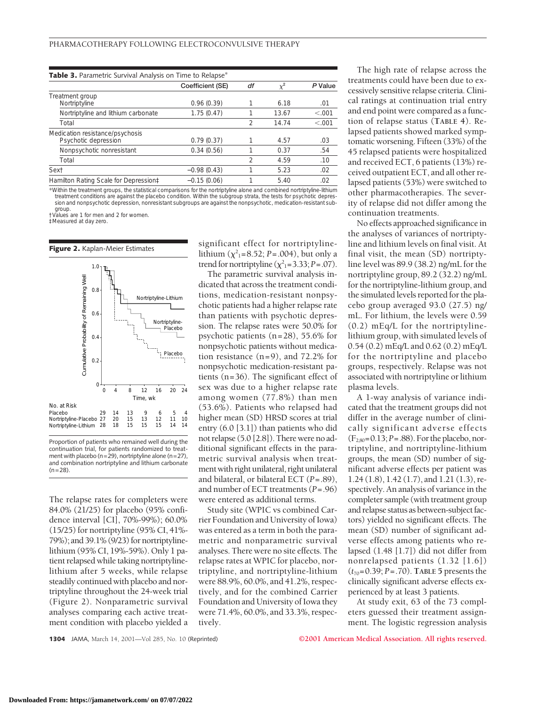| <b>Table 3.</b> Parametric Survival Analysis on Time to Relapse <sup>*</sup>                                                                                                                                                                                                                                                                                                                                                                                 |                  |    |          |         |
|--------------------------------------------------------------------------------------------------------------------------------------------------------------------------------------------------------------------------------------------------------------------------------------------------------------------------------------------------------------------------------------------------------------------------------------------------------------|------------------|----|----------|---------|
|                                                                                                                                                                                                                                                                                                                                                                                                                                                              | Coefficient (SE) | df | $\chi^2$ | P Value |
| Treatment group                                                                                                                                                                                                                                                                                                                                                                                                                                              |                  |    |          |         |
| Nortriptyline                                                                                                                                                                                                                                                                                                                                                                                                                                                | 0.96(0.39)       |    | 6.18     | .01     |
| Nortriptyline and lithium carbonate                                                                                                                                                                                                                                                                                                                                                                                                                          | 1.75(0.47)       |    | 13.67    | < 0.001 |
| Total                                                                                                                                                                                                                                                                                                                                                                                                                                                        |                  | 2  | 14.74    | < 0.001 |
| Medication resistance/psychosis<br>Psychotic depression                                                                                                                                                                                                                                                                                                                                                                                                      | 0.79(0.37)       |    | 4.57     | .03     |
| Nonpsychotic nonresistant                                                                                                                                                                                                                                                                                                                                                                                                                                    | 0.34(0.56)       |    | 0.37     | .54     |
| Total                                                                                                                                                                                                                                                                                                                                                                                                                                                        |                  | 2  | 4.59     | .10     |
| Sext                                                                                                                                                                                                                                                                                                                                                                                                                                                         | $-0.98(0.43)$    |    | 5.23     | .02     |
| Hamilton Rating Scale for Depression‡                                                                                                                                                                                                                                                                                                                                                                                                                        | $-0.15(0.06)$    |    | 5.40     | .02     |
| $\mathcal{L} = \mathcal{L} = \mathcal{L} = \mathcal{L} = \mathcal{L} = \mathcal{L} = \mathcal{L} = \mathcal{L} = \mathcal{L} = \mathcal{L} = \mathcal{L} = \mathcal{L} = \mathcal{L} = \mathcal{L} = \mathcal{L} = \mathcal{L} = \mathcal{L} = \mathcal{L} = \mathcal{L} = \mathcal{L} = \mathcal{L} = \mathcal{L} = \mathcal{L} = \mathcal{L} = \mathcal{L} = \mathcal{L} = \mathcal{L} = \mathcal{L} = \mathcal{L} = \mathcal{L} = \mathcal{L} = \mathcal$ |                  |    | .        |         |

\*Within the treatment groups, the statistical comparisons for the nortriptyline alone and combined nortriptyline-lithium treatment conditions are against the placebo condition. Within the subgroup strata, the tests for psychotic depres-<br>sion and nonpsychotic depression, nonresistant subgroups are against the nonpsychotic, medication-resistan group. †Values are 1 for men and 2 for women.

‡Measured at day zero.



Proportion of patients who remained well during the continuation trial, for patients randomized to treatment with placebo ( $n=29$ ), nortriptyline alone ( $n=27$ ), and combination nortriptyline and lithium carbonate  $(n=28)$ 

The relapse rates for completers were 84.0% (21/25) for placebo (95% confidence interval [CI], 70%-99%); 60.0% (15/25) for nortriptyline (95% CI, 41%- 79%); and 39.1% (9/23) for nortriptylinelithium (95% CI, 19%-59%). Only 1 patient relapsed while taking nortriptylinelithium after 5 weeks, while relapse steadily continued with placebo and nortriptyline throughout the 24-week trial (Figure 2). Nonparametric survival analyses comparing each active treatment condition with placebo yielded a significant effect for nortriptylinelithium  $(\chi^2_{1} = 8.52; P = .004)$ , but only a trend for nortriptyline  $(\chi^2_{1} = 3.33; P = .07)$ .

The parametric survival analysis indicated that across the treatment conditions, medication-resistant nonpsychotic patients had a higher relapse rate than patients with psychotic depression. The relapse rates were 50.0% for psychotic patients (n=28), 55.6% for nonpsychotic patients without medication resistance  $(n=9)$ , and 72.2% for nonpsychotic medication-resistant patients (n=36). The significant effect of sex was due to a higher relapse rate among women (77.8%) than men (53.6%). Patients who relapsed had higher mean (SD) HRSD scores at trial entry (6.0 [3.1]) than patients who did not relapse (5.0 [2.8]). There were no additional significant effects in the parametric survival analysis when treatment with right unilateral, right unilateral and bilateral, or bilateral ECT (*P*=.89), and number of ECT treatments (*P*=.96) were entered as additional terms.

Study site (WPIC vs combined Carrier Foundation and University of Iowa) was entered as a term in both the parametric and nonparametric survival analyses. There were no site effects. The relapse rates at WPIC for placebo, nortriptyline, and nortriptyline-lithium were 88.9%, 60.0%, and 41.2%, respectively, and for the combined Carrier Foundation and University of Iowa they were 71.4%, 60.0%, and 33.3%, respectively.

The high rate of relapse across the treatments could have been due to excessively sensitive relapse criteria. Clinical ratings at continuation trial entry and end point were compared as a function of relapse status (**TABLE 4**). Relapsed patients showed marked symptomatic worsening. Fifteen (33%) of the 45 relapsed patients were hospitalized and received ECT, 6 patients (13%) received outpatient ECT, and all other relapsed patients (53%) were switched to other pharmacotherapies. The severity of relapse did not differ among the continuation treatments.

No effects approached significance in the analyses of variances of nortriptyline and lithium levels on final visit. At final visit, the mean (SD) nortriptyline level was 89.9 (38.2) ng/mL for the nortriptyline group, 89.2 (32.2) ng/mL for the nortriptyline-lithium group, and the simulated levels reported for the placebo group averaged 93.0 (27.5) ng/ mL. For lithium, the levels were 0.59 (0.2) mEq/L for the nortriptylinelithium group, with simulated levels of 0.54 (0.2) mEq/L and 0.62 (0.2) mEq/L for the nortriptyline and placebo groups, respectively. Relapse was not associated with nortriptyline or lithium plasma levels.

A 1-way analysis of variance indicated that the treatment groups did not differ in the average number of clinically significant adverse effects (F2,80=0.13;*P*=.88).Fortheplacebo,nortriptyline, and nortriptyline-lithium groups, the mean (SD) number of significant adverse effects per patient was 1.24 (1.8), 1.42 (1.7), and 1.21 (1.3), respectively. An analysis of variance in the completer sample (with treatment group and relapse status as between-subject factors) yielded no significant effects. The mean (SD) number of significant adverse effects among patients who relapsed (1.48 [1.7]) did not differ from nonrelapsed patients (1.32 [1.6]) (*t*70=0.39; *P*=.70). **TABLE 5** presents the clinically significant adverse effects experienced by at least 3 patients.

At study exit, 63 of the 73 completers guessed their treatment assignment. The logistic regression analysis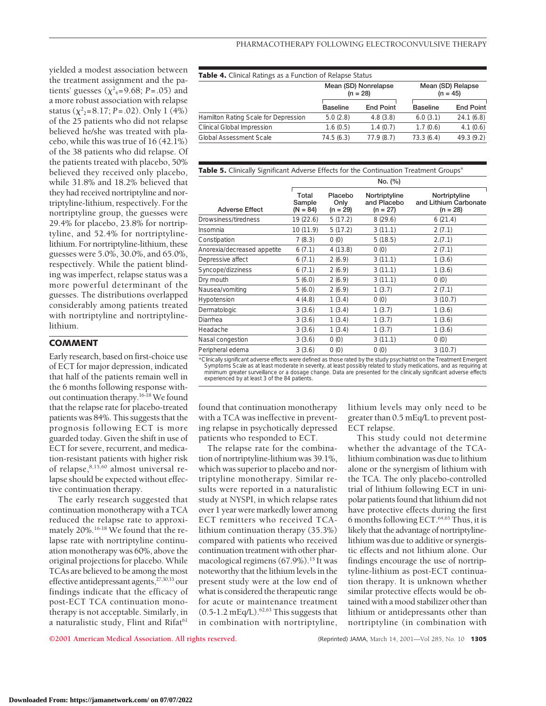yielded a modest association between the treatment assignment and the patients' guesses ( $\chi^2$ <sub>4</sub>=9.68; *P*=.05) and a more robust association with relapse status ( $\chi^2$ <sub>2</sub>=8.17; *P*=.02). Only 1 (4%) of the 25 patients who did not relapse believed he/she was treated with placebo, while this was true of 16 (42.1%) of the 38 patients who did relapse. Of the patients treated with placebo, 50% believed they received only placebo, while 31.8% and 18.2% believed that they had received nortriptyline and nortriptyline-lithium, respectively. For the nortriptyline group, the guesses were 29.4% for placebo, 23.8% for nortriptyline, and 52.4% for nortriptylinelithium. For nortriptyline-lithium, these guesses were 5.0%, 30.0%, and 65.0%, respectively. While the patient blinding was imperfect, relapse status was a more powerful determinant of the guesses. The distributions overlapped considerably among patients treated with nortriptyline and nortriptylinelithium.

# **COMMENT**

Early research, based on first-choice use of ECT for major depression, indicated that half of the patients remain well in the 6 months following response without continuation therapy.16-18 We found that the relapse rate for placebo-treated patients was 84%. This suggests that the prognosis following ECT is more guarded today. Given the shift in use of ECT for severe, recurrent, and medication-resistant patients with higher risk of relapse,8,15,60 almost universal relapse should be expected without effective continuation therapy.

The early research suggested that continuation monotherapy with a TCA reduced the relapse rate to approximately 20%.16-18 We found that the relapse rate with nortriptyline continuation monotherapy was 60%, above the original projections for placebo. While TCAs are believed to be among the most effective antidepressant agents,27,30,33 our findings indicate that the efficacy of post-ECT TCA continuation monotherapy is not acceptable. Similarly, in a naturalistic study, Flint and Rifat<sup>61</sup>

| <b>Table 4.</b> Clinical Ratings as a Function of Relapse Status |                 |                                    |                 |                                 |  |
|------------------------------------------------------------------|-----------------|------------------------------------|-----------------|---------------------------------|--|
|                                                                  |                 | Mean (SD) Nonrelapse<br>$(n = 28)$ |                 | Mean (SD) Relapse<br>$(n = 45)$ |  |
|                                                                  | <b>Baseline</b> | <b>End Point</b>                   | <b>Baseline</b> | <b>End Point</b>                |  |
| Hamilton Rating Scale for Depression                             | 5.0(2.8)        | 4.8(3.8)                           | 6.0(3.1)        | 24.1(6.8)                       |  |
| Clinical Global Impression                                       | 1.6(0.5)        | 1.4(0.7)                           | 1.7(0.6)        | 4.1(0.6)                        |  |
| Global Assessment Scale                                          | 74.5(6.3)       | 77.9(8.7)                          | 73.3(6.4)       | 49.3 (9.2)                      |  |
|                                                                  |                 |                                    |                 |                                 |  |

## Table 5. Clinically Significant Adverse Effects for the Continuation Treatment Groups<sup>\*</sup>

|                             | No. (%)                       |                               |                                            |                                                      |  |  |
|-----------------------------|-------------------------------|-------------------------------|--------------------------------------------|------------------------------------------------------|--|--|
| <b>Adverse Effect</b>       | Total<br>Sample<br>$(N = 84)$ | Placebo<br>Only<br>$(n = 29)$ | Nortriptyline<br>and Placebo<br>$(n = 27)$ | Nortriptyline<br>and Lithium Carbonate<br>$(n = 28)$ |  |  |
| Drowsiness/tiredness        | 19 (22.6)                     | 5(17.2)                       | 8(29.6)                                    | 6(21.4)                                              |  |  |
| Insomnia                    | 10 (11.9)                     | 5(17.2)                       | 3(11.1)                                    | 2(7.1)                                               |  |  |
| Constipation                | 7(8.3)                        | 0(0)                          | 5(18.5)                                    | 2.(7.1)                                              |  |  |
| Anorexia/decreased appetite | 6(7.1)                        | 4(13.8)                       | (0)                                        | 2(7.1)                                               |  |  |
| Depressive affect           | 6(7.1)                        | 2(6.9)                        | 3(11.1)                                    | 1(3.6)                                               |  |  |
| Syncope/dizziness           | 6(7.1)                        | 2(6.9)                        | 3(11.1)                                    | 1(3.6)                                               |  |  |
| Dry mouth                   | 5(6.0)                        | 2(6.9)                        | 3(11.1)                                    | 0(0)                                                 |  |  |
| Nausea/vomiting             | 5(6.0)                        | 2(6.9)                        | 1(3.7)                                     | 2(7.1)                                               |  |  |
| Hypotension                 | 4(4.8)                        | 1(3.4)                        | 0(0)                                       | 3(10.7)                                              |  |  |
| Dermatologic                | 3(3.6)                        | 1(3.4)                        | 1(3.7)                                     | 1(3.6)                                               |  |  |
| Diarrhea                    | 3(3.6)                        | 1(3.4)                        | 1(3.7)                                     | 1(3.6)                                               |  |  |
| Headache                    | 3(3.6)                        | 1(3.4)                        | 1(3.7)                                     | 1(3.6)                                               |  |  |
| Nasal congestion            | 3(3.6)                        | 0(0)                          | 3(11.1)                                    | 0(0)                                                 |  |  |
| Peripheral edema            | 3(3.6)                        | 0(0)                          | 0(0)                                       | 3(10.7)                                              |  |  |
|                             |                               |                               |                                            |                                                      |  |  |

Clinically significant adverse effects were defined as those rated by the study psychiatrist on the Treatment Emergent "<br>Symptoms Scale as at least moderate in severity, at least possibly related to study medications, and minimum greater surveillance or a dosage change. Data are presented for the clinically significant adverse effects experienced by at least 3 of the 84 patients.

found that continuation monotherapy with a TCA was ineffective in preventing relapse in psychotically depressed patients who responded to ECT.

The relapse rate for the combination of nortriptyline-lithium was 39.1%, which was superior to placebo and nortriptyline monotherapy. Similar results were reported in a naturalistic study at NYSPI, in which relapse rates over 1 year were markedly lower among ECT remitters who received TCAlithium continuation therapy (35.3%) compared with patients who received continuation treatment with other pharmacological regimens (67.9%).<sup>15</sup> It was noteworthy that the lithium levels in the present study were at the low end of what is considered the therapeutic range for acute or maintenance treatment  $(0.5-1.2 \text{ mEq/L})$ .<sup>62,63</sup> This suggests that in combination with nortriptyline,

lithium levels may only need to be greater than 0.5 mEq/L to prevent post-ECT relapse.

This study could not determine whether the advantage of the TCAlithium combination was due to lithium alone or the synergism of lithium with the TCA. The only placebo-controlled trial of lithium following ECT in unipolar patients found that lithium did not have protective effects during the first 6 months following ECT.64,65 Thus, it is likely that the advantage of nortriptylinelithium was due to additive or synergistic effects and not lithium alone. Our findings encourage the use of nortriptyline-lithium as post-ECT continuation therapy. It is unknown whether similar protective effects would be obtained with a mood stabilizer other than lithium or antidepressants other than nortriptyline (in combination with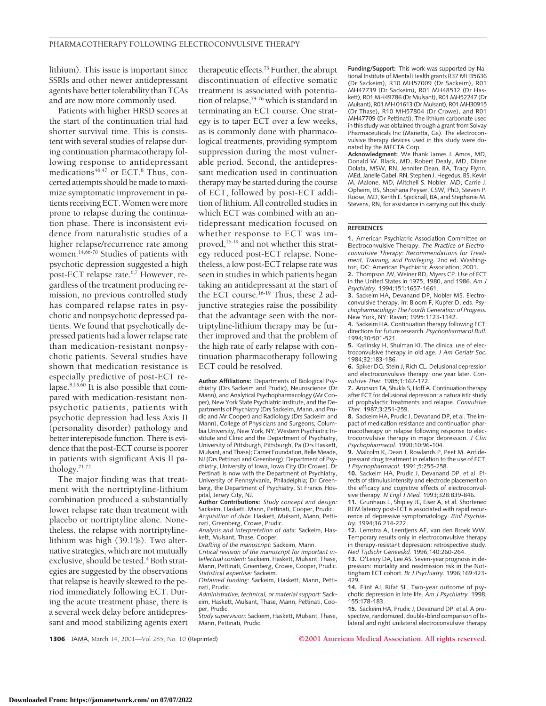lithium). This issue is important since SSRIs and other newer antidepressant agents have better tolerability than TCAs and are now more commonly used.

Patients with higher HRSD scores at the start of the continuation trial had shorter survival time. This is consistent with several studies of relapse during continuation pharmacotherapy following response to antidepressant medications<sup>46,47</sup> or ECT.<sup>8</sup> Thus, concerted attempts should be made to maximize symptomatic improvement in patients receiving ECT. Women were more prone to relapse during the continuation phase. There is inconsistent evidence from naturalistic studies of a higher relapse/recurrence rate among women.14,66-70 Studies of patients with psychotic depression suggested a high post-ECT relapse rate.<sup>6,7</sup> However, regardless of the treatment producing remission, no previous controlled study has compared relapse rates in psychotic and nonpsychotic depressed patients. We found that psychotically depressed patients had a lower relapse rate than medication-resistant nonpsychotic patients. Several studies have shown that medication resistance is especially predictive of post-ECT relapse. $8,15,60$  It is also possible that compared with medication-resistant nonpsychotic patients, patients with psychotic depression had less Axis II (personality disorder) pathology and better interepisode function. There is evidence that the post-ECT course is poorer in patients with significant Axis II pathology.71,72

The major finding was that treatment with the nortriptyline-lithium combination produced a substantially lower relapse rate than treatment with placebo or nortriptyline alone. Nonetheless, the relapse with nortriptylinelithium was high (39.1%). Two alternative strategies, which are not mutually exclusive, should be tested.<sup>4</sup> Both strategies are suggested by the observations that relapse is heavily skewed to the period immediately following ECT. During the acute treatment phase, there is a several week delay before antidepressant and mood stabilizing agents exert therapeutic effects.73 Further, the abrupt discontinuation of effective somatic treatment is associated with potentiation of relapse,74-76 which is standard in terminating an ECT course. One strategy is to taper ECT over a few weeks, as is commonly done with pharmacological treatments, providing symptom suppression during the most vulnerable period. Second, the antidepressant medication used in continuation therapy may be started during the course of ECT, followed by post-ECT addition of lithium. All controlled studies in which ECT was combined with an antidepressant medication focused on whether response to ECT was improved,<sup>16-19</sup> and not whether this strategy reduced post-ECT relapse. Nonetheless, a low post-ECT relapse rate was seen in studies in which patients began taking an antidepressant at the start of the ECT course.<sup>16-19</sup> Thus, these 2 adjunctive strategies raise the possibility that the advantage seen with the nortriptyline-lithium therapy may be further improved and that the problem of the high rate of early relapse with continuation pharmacotherapy following ECT could be resolved.

**Author Affiliations:** Departments of Biological Psychiatry (Drs Sackeim and Prudic), Neuroscience (Dr Mann), and Analytical Psychopharmacology (Mr Cooper), New York State Psychiatric Institute, and the Departments of Psychiatry (Drs Sackeim, Mann, and Prudic and Mr Cooper) and Radiology (Drs Sackeim and Mann), College of Physicians and Surgeons, Columbia University, New York, NY; Western Psychiatric Institute and Clinic and the Department of Psychiatry, University of Pittsburgh, Pittsburgh, Pa (Drs Haskett, Mulsant, and Thase); Carrier Foundation, Belle Meade, NJ (Drs Pettinati and Greenberg); Department of Psychiatry, University of Iowa, Iowa City (Dr Crowe). Dr Pettinati is now with the Department of Psychiatry, University of Pennsylvania, Philadelphia; Dr Greenberg, the Department of Psychiatry, St Francis Hos-

pital, Jersey City, NJ. **Author Contributions:** *Study concept and design:* Sackeim, Haskett, Mann, Pettinati, Cooper, Prudic. *Acquisition of data:* Haskett, Mulsant, Mann, Pettinati, Greenberg, Crowe, Prudic.

*Analysis and interpretation of data:* Sackeim, Haskett, Mulsant, Thase, Cooper.

*Drafting of the manuscript:* Sackeim, Mann.

*Critical revision of the manuscript for important intellectual content:* Sackeim, Haskett, Mulsant, Thase, Mann, Pettinati, Greenberg, Crowe, Cooper, Prudic. *Statistical expertise:* Sackeim.

*Obtained funding:* Sackeim, Haskett, Mann, Pettinati, Prudic.

*Administrative, technical, or material support:* Sackeim, Haskett, Mulsant, Thase, Mann, Pettinati, Cooper, Prudic.

*Study supervision:* Sackeim, Haskett, Mulsant, Thase, Mann, Pettinati, Prudic.

**Funding/Support:** This work was supported by National Institute of Mental Health grants R37 MH35636 (Dr Sackeim), R10 MH57009 (Dr Sackeim), R01 MH47739 (Dr Sackeim), R01 MH48512 (Dr Haskett), R01 MH49786 (Dr Mulsant), R01 MH52247 (Dr Mulsant), R01 MH 01613 (Dr Mulsant), R01 MH30915 (Dr Thase), R10 MH57804 (Dr Crowe), and R01 MH47709 (Dr Pettinati). The lithium carbonate used in this study was obtained through a grant from Solvay Pharmaceuticals Inc (Marietta, Ga). The electroconvulsive therapy devices used in this study were donated by the MECTA Corp.

**Acknowledgment:** We thank James J. Amos, MD, Donald W. Black, MD, Robert Dealy, MD, Diane Dolata, MSW, RN, Jennifer Dean, BA, Tracy Flynn, MEd, Janelle Gabel, RN, Stephen J. Hegedus, BS, Kevin M. Malone, MD, Mitchell S. Nobler, MD, Carrie J. Opheim, BS, Shoshana Peyser, CSW, PhD, Steven P. Roose, MD, Kerith E. Spicknall, BA, and Stephanie M. Stevens, RN, for assistance in carrying out this study.

#### **REFERENCES**

**1.** American Psychiatric Association Committee on Electroconvulsive Therapy. *The Practice of Electroconvulsive Therapy: Recommendations for Treat-ment, Training, and Privileging.* 2nd ed. Washington, DC: American Psychiatric Association; 2001.

**2.** Thompson JW, Weiner RD, Myers CP. Use of ECT in the United States in 1975, 1980, and 1986. *Am J Psychiatry.* 1994;151:1657-1661.

**3.** Sackeim HA, Devanand DP, Nobler MS. Electroconvulsive therapy. In: Bloom F, Kupfer D, eds. P*sychopharmacology: The Fourth Generation of Progress.* New York, NY: Raven; 1995:1123-1142.

**4.** Sackeim HA. Continuation therapy following ECT: directions for future research. *Psychopharmacol Bull.* 1994;30:501-521.

**5.** Karlinsky H, Shulman KI. The clinical use of electroconvulsive therapy in old age. *J Am Geriatr Soc.* 1984;32:183-186.

**6.** Spiker DG, Stein J, Rich CL. Delusional depression and electroconvulsive therapy: one year later. *Convulsive Ther.* 1985;1:167-172.

**7.** Aronson TA, Shukla S, Hoff A. Continuation therapy after ECT for delusional depression: a naturalistic study of prophylactic treatments and relapse. *Convulsive Ther.* 1987;3:251-259.

**8.** Sackeim HA, Prudic J, Devanand DP, et al. The impact of medication resistance and continuation pharmacotherapy on relapse following response to electroconvulsive therapy in major depression. *J Clin Psychopharmacol.* 1990;10:96-104.

**9.** Malcolm K, Dean J, Rowlands P, Peet M. Antidepressant drug treatment in relation to the use of ECT. *J Psychopharmacol.* 1991;5:255-258.

**10.** Sackeim HA, Prudic J, Devanand DP, et al. Effects of stimulus intensity and electrode placement on the efficacy and cognitive effects of electroconvul-

sive therapy. *N Engl J Med.* 1993;328:839-846. **11.** Grunhaus L, Shipley JE, Eiser A, et al. Shortened REM latency post-ECT is associated with rapid recurrence of depressive symptomatology. *Biol Psychiatry.* 1994;36:214-222.

**12.** Lemstra A, Leentjens AF, van den Broek WW. Temporary results only in electroconvulsive therapy in therapy-resistant depression: retrospective study. *Ned Tijdschr Geneeskd.* 1996;140:260-264. **13.** O'Leary DA, Lee AS. Seven-year prognosis in de-

pression: mortality and readmission risk in the Nottingham ECT cohort. *Br J Psychiatry.* 1996;169:423- 429.

**14.** Flint AJ, Rifat SL. Two-year outcome of psychotic depression in late life. *Am J Psychiatry.* 1998; 155:178-183.

**15.** Sackeim HA, Prudic J, Devanand DP, et al. A prospective, randomized, double-blind comparison of bilateral and right unilateral electroconvulsive therapy

**1306** JAMA, March 14, 2001—Vol 285, No. 10 (Reprinted) **©2001 American Medical Association. All rights reserved.**